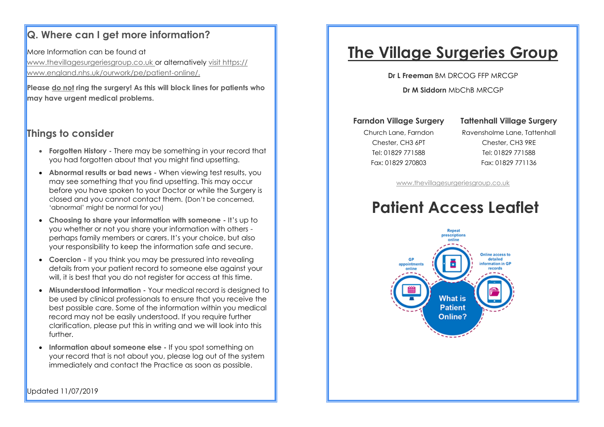#### **Q. Where can I get more information?**

More Information can be found at www.thevillagesurgeriesgroup.co.uk or alternatively visit https:// www.england.nhs.uk/ourwork/pe/patient-online/.

**Please do not ring the surgery! As this will block lines for patients who may have urgent medical problems.**

#### **Things to consider**

- **Forgotten History -** There may be something in your record that you had forgotten about that you might find upsetting.
- **Abnormal results or bad news -** When viewing test results, you may see something that you find upsetting. This may occur before you have spoken to your Doctor or while the Surgery is closed and you cannot contact them. (Don't be concerned, 'abnormal' might be normal for you)
- **Choosing to share your information with someone -** It's up to you whether or not you share your information with others perhaps family members or carers. It's your choice, but also your responsibility to keep the information safe and secure.
- **Coercion -** If you think you may be pressured into revealing details from your patient record to someone else against your will, it is best that you do not register for access at this time.
- **Misunderstood information -** Your medical record is designed to be used by clinical professionals to ensure that you receive the best possible care. Some of the information within you medical record may not be easily understood. If you require further clarification, please put this in writing and we will look into this further.
- **Information about someone else -** If you spot something on your record that is not about you, please log out of the system immediately and contact the Practice as soon as possible.

# **The Village Surgeries Group**

**Dr L Freeman** BM DRCOG FFP MRCGP

**Dr M Siddorn** MbChB MRCGP

#### **Farndon Village Surgery**

#### **Tattenhall Village Surgery**

Church Lane, Farndon Chester, CH3 6PT Tel: 01829 771588 Fax: 01829 270803

Ravensholme Lane, Tattenhall Chester, CH3 9RE Tel: 01829 771588 Fax: 01829 771136

[www.thevillagesurgeriesgroup.co.uk](http://www.thevillagesurgeriesgroup.co.uk)

# **Patient Access Leaflet**



Updated 11/07/2019